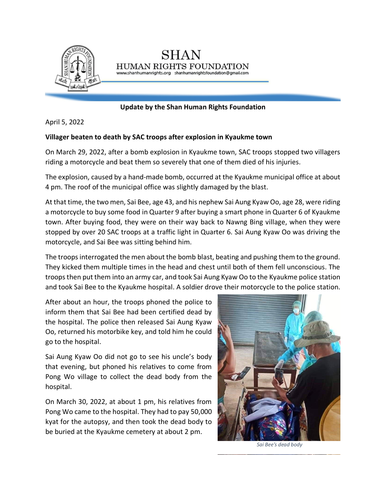

**Update by the Shan Human Rights Foundation**

HUMAN RIGHTS FOUNDATION www.shanhumanrights.org shanhumanrightsfoundation@gmail.com

April 5, 2022

## **Villager beaten to death by SAC troops after explosion in Kyaukme town**

On March 29, 2022, after a bomb explosion in Kyaukme town, SAC troops stopped two villagers riding a motorcycle and beat them so severely that one of them died of his injuries.

The explosion, caused by a hand-made bomb, occurred at the Kyaukme municipal office at about 4 pm. The roof of the municipal office was slightly damaged by the blast.

At that time, the two men, Sai Bee, age 43, and his nephew Sai Aung Kyaw Oo, age 28, were riding a motorcycle to buy some food in Quarter 9 after buying a smart phone in Quarter 6 of Kyaukme town. After buying food, they were on their way back to Nawng Bing village, when they were stopped by over 20 SAC troops at a traffic light in Quarter 6. Sai Aung Kyaw Oo was driving the motorcycle, and Sai Bee was sitting behind him.

The troops interrogated the men about the bomb blast, beating and pushing them to the ground. They kicked them multiple times in the head and chest until both of them fell unconscious. The troops then put them into an army car, and took Sai Aung Kyaw Oo to the Kyaukme police station and took Sai Bee to the Kyaukme hospital. A soldier drove their motorcycle to the police station.

After about an hour, the troops phoned the police to inform them that Sai Bee had been certified dead by the hospital. The police then released Sai Aung Kyaw Oo, returned his motorbike key, and told him he could go to the hospital.

Sai Aung Kyaw Oo did not go to see his uncle's body that evening, but phoned his relatives to come from Pong Wo village to collect the dead body from the hospital.

On March 30, 2022, at about 1 pm, his relatives from Pong Wo came to the hospital. They had to pay 50,000 kyat for the autopsy, and then took the dead body to be buried at the Kyaukme cemetery at about 2 pm.



*Sai Bee's dead body*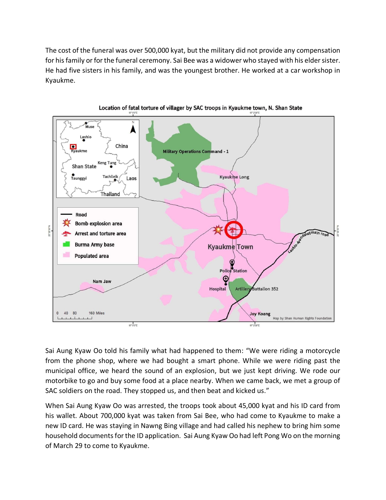The cost of the funeral was over 500,000 kyat, but the military did not provide any compensation for his family or for the funeral ceremony. Sai Bee was a widower who stayed with his elder sister. He had five sisters in his family, and was the youngest brother. He worked at a car workshop in Kyaukme.



Location of fatal torture of villager by SAC troops in Kyaukme town, N. Shan State

Sai Aung Kyaw Oo told his family what had happened to them: "We were riding a motorcycle from the phone shop, where we had bought a smart phone. While we were riding past the municipal office, we heard the sound of an explosion, but we just kept driving. We rode our motorbike to go and buy some food at a place nearby. When we came back, we met a group of SAC soldiers on the road. They stopped us, and then beat and kicked us."

When Sai Aung Kyaw Oo was arrested, the troops took about 45,000 kyat and his ID card from his wallet. About 700,000 kyat was taken from Sai Bee, who had come to Kyaukme to make a new ID card. He was staying in Nawng Bing village and had called his nephew to bring him some household documents for the ID application. Sai Aung Kyaw Oo had left Pong Wo on the morning of March 29 to come to Kyaukme.